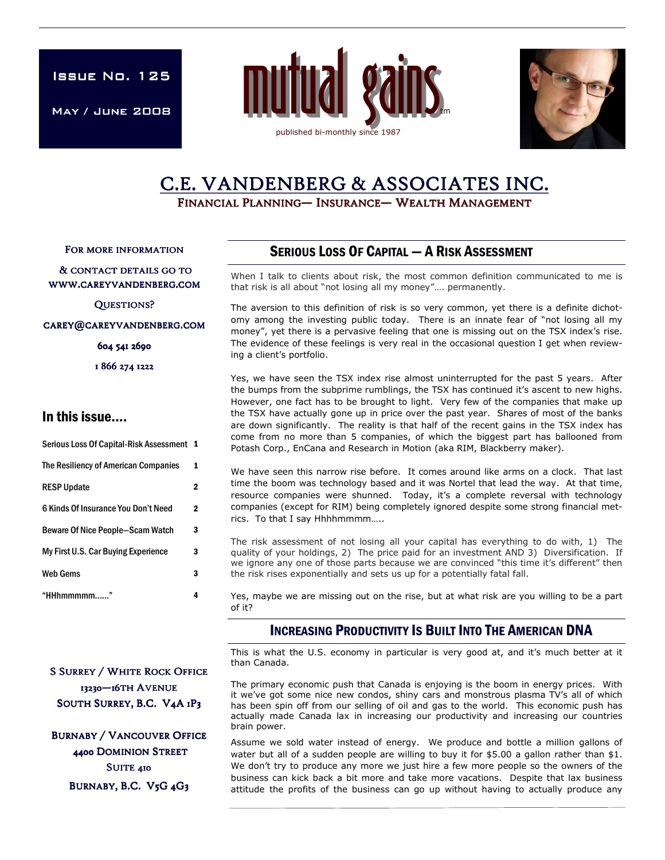**ISSUE No. 125** 

May / June 2008 May





# C.E. VANDENBERG & ASSOCIATES INC.

FINANCIAL PLANNING— INSURANCE— WEALTH MANAGEMENT

FOR MORE INFORMATION

#### & CONTACT DETAILS GO TO WWW.CAREYVANDENBERG.COM

QUESTIONS?

CAREY@CAREYVANDENBERG.COM

604 541 2690

1 866 274 1222

## In this issue….

| Serious Loss Of Capital-Risk Assessment 1 |              |
|-------------------------------------------|--------------|
| The Resiliency of American Companies      | 1            |
| <b>RESP Update</b>                        | 2            |
| 6 Kinds Of Insurance You Don't Need       | $\mathbf{2}$ |
| <b>Beware Of Nice People-Scam Watch</b>   | 3            |
| My First U.S. Car Buying Experience       | 3            |
| <b>Web Gems</b>                           | 3            |
| "HHhmmmmm                                 |              |

# SERIOUS LOSS OF CAPITAL — A RISK ASSESSMENT

When I talk to clients about risk, the most common definition communicated to me is that risk is all about "not losing all my money"…. permanently.

The aversion to this definition of risk is so very common, yet there is a definite dichotomy among the investing public today. There is an innate fear of "not losing all my money", yet there is a pervasive feeling that one is missing out on the TSX index's rise. The evidence of these feelings is very real in the occasional question I get when reviewing a client's portfolio.

Yes, we have seen the TSX index rise almost uninterrupted for the past 5 years. After the bumps from the subprime rumblings, the TSX has continued it's ascent to new highs. However, one fact has to be brought to light. Very few of the companies that make up the TSX have actually gone up in price over the past year. Shares of most of the banks are down significantly. The reality is that half of the recent gains in the TSX index has come from no more than 5 companies, of which the biggest part has ballooned from Potash Corp., EnCana and Research in Motion (aka RIM, Blackberry maker).

We have seen this narrow rise before. It comes around like arms on a clock. That last time the boom was technology based and it was Nortel that lead the way. At that time, resource companies were shunned. Today, it's a complete reversal with technology companies (except for RIM) being completely ignored despite some strong financial metrics. To that I say Hhhhmmmm…..

The risk assessment of not losing all your capital has everything to do with, 1) The quality of your holdings, 2) The price paid for an investment AND 3) Diversification. If we ignore any one of those parts because we are convinced "this time it's different" then the risk rises exponentially and sets us up for a potentially fatal fall.

Yes, maybe we are missing out on the rise, but at what risk are you willing to be a part of it?

# INCREASING PRODUCTIVITY IS BUILT INTO THE AMERICAN DNA

This is what the U.S. economy in particular is very good at, and it's much better at it than Canada.

The primary economic push that Canada is enjoying is the boom in energy prices. With it we've got some nice new condos, shiny cars and monstrous plasma TV's all of which has been spin off from our selling of oil and gas to the world. This economic push has actually made Canada lax in increasing our productivity and increasing our countries brain power.

Assume we sold water instead of energy. We produce and bottle a million gallons of water but all of a sudden people are willing to buy it for \$5.00 a gallon rather than \$1. We don't try to produce any more we just hire a few more people so the owners of the business can kick back a bit more and take more vacations. Despite that lax business attitude the profits of the business can go up without having to actually produce any

**S SURREY / WHITE ROCK OFFICE** 13230-16TH AVENUE SOUTH SURREY, B.C. V4A 1P3

**BURNABY / VANCOUVER OFFICE** 4400 DOMINION STREET SUITE 410 BURNABY, B.C. V5G 4G3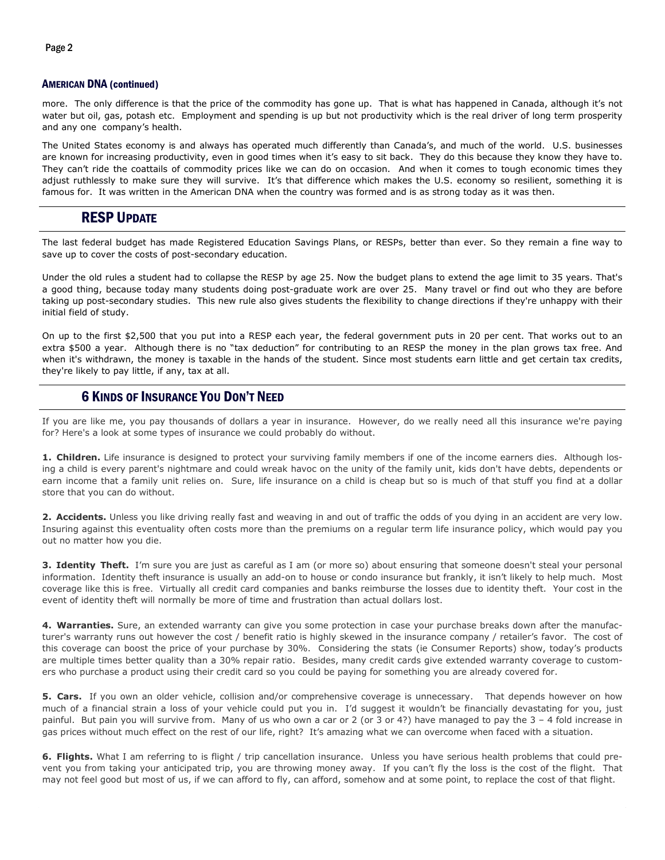#### AMERICAN DNA (continued)

more. The only difference is that the price of the commodity has gone up. That is what has happened in Canada, although it's not water but oil, gas, potash etc. Employment and spending is up but not productivity which is the real driver of long term prosperity and any one company's health.

The United States economy is and always has operated much differently than Canada's, and much of the world. U.S. businesses are known for increasing productivity, even in good times when it's easy to sit back. They do this because they know they have to. They can't ride the coattails of commodity prices like we can do on occasion. And when it comes to tough economic times they adjust ruthlessly to make sure they will survive. It's that difference which makes the U.S. economy so resilient, something it is famous for. It was written in the American DNA when the country was formed and is as strong today as it was then.

# RESP UPDATE

The last federal budget has made Registered Education Savings Plans, or RESPs, better than ever. So they remain a fine way to save up to cover the costs of post-secondary education.

Under the old rules a student had to collapse the RESP by age 25. Now the budget plans to extend the age limit to 35 years. That's a good thing, because today many students doing post-graduate work are over 25. Many travel or find out who they are before taking up post-secondary studies. This new rule also gives students the flexibility to change directions if they're unhappy with their initial field of study.

On up to the first \$2,500 that you put into a RESP each year, the federal government puts in 20 per cent. That works out to an extra \$500 a year. Although there is no "tax deduction" for contributing to an RESP the money in the plan grows tax free. And when it's withdrawn, the money is taxable in the hands of the student. Since most students earn little and get certain tax credits, they're likely to pay little, if any, tax at all.

## 6 KINDS OF INSURANCE YOU DON'T NEED

If you are like me, you pay thousands of dollars a year in insurance. However, do we really need all this insurance we're paying for? Here's a look at some types of insurance we could probably do without.

1. Children. Life insurance is designed to protect your surviving family members if one of the income earners dies. Although losing a child is every parent's nightmare and could wreak havoc on the unity of the family unit, kids don't have debts, dependents or earn income that a family unit relies on. Sure, life insurance on a child is cheap but so is much of that stuff you find at a dollar store that you can do without.

2. Accidents. Unless you like driving really fast and weaving in and out of traffic the odds of you dying in an accident are very low. Insuring against this eventuality often costs more than the premiums on a regular term life insurance policy, which would pay you out no matter how you die.

3. Identity Theft. I'm sure you are just as careful as I am (or more so) about ensuring that someone doesn't steal your personal information. Identity theft insurance is usually an add-on to house or condo insurance but frankly, it isn't likely to help much. Most coverage like this is free. Virtually all credit card companies and banks reimburse the losses due to identity theft. Your cost in the event of identity theft will normally be more of time and frustration than actual dollars lost.

4. Warranties. Sure, an extended warranty can give you some protection in case your purchase breaks down after the manufacturer's warranty runs out however the cost / benefit ratio is highly skewed in the insurance company / retailer's favor. The cost of this coverage can boost the price of your purchase by 30%. Considering the stats (ie Consumer Reports) show, today's products are multiple times better quality than a 30% repair ratio. Besides, many credit cards give extended warranty coverage to customers who purchase a product using their credit card so you could be paying for something you are already covered for.

5. Cars. If you own an older vehicle, collision and/or comprehensive coverage is unnecessary. That depends however on how much of a financial strain a loss of your vehicle could put you in. I'd suggest it wouldn't be financially devastating for you, just painful. But pain you will survive from. Many of us who own a car or 2 (or 3 or 4?) have managed to pay the 3 – 4 fold increase in gas prices without much effect on the rest of our life, right? It's amazing what we can overcome when faced with a situation.

6. Flights. What I am referring to is flight / trip cancellation insurance. Unless you have serious health problems that could prevent you from taking your anticipated trip, you are throwing money away. If you can't fly the loss is the cost of the flight. That may not feel good but most of us, if we can afford to fly, can afford, somehow and at some point, to replace the cost of that flight.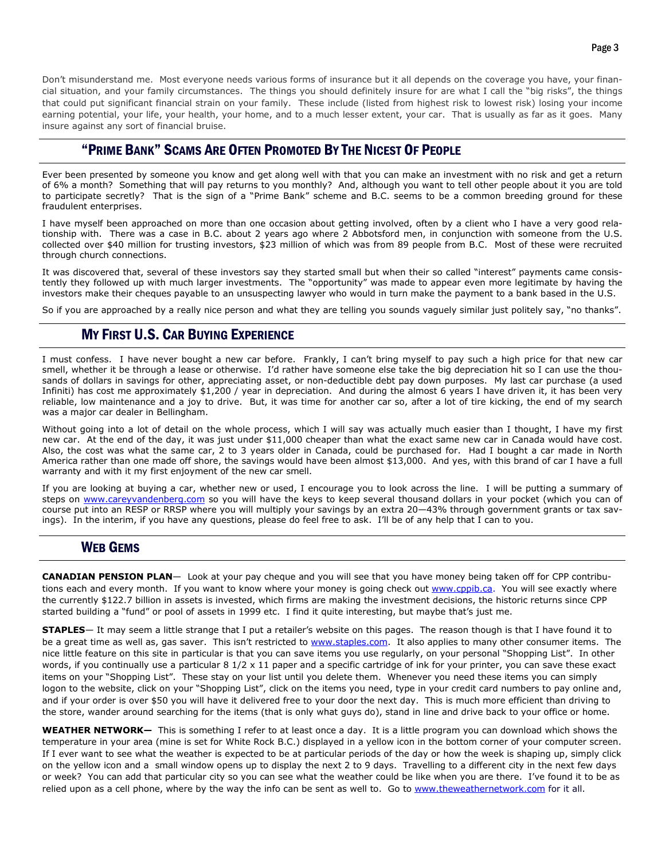Don't misunderstand me. Most everyone needs various forms of insurance but it all depends on the coverage you have, your financial situation, and your family circumstances. The things you should definitely insure for are what I call the "big risks", the things that could put significant financial strain on your family. These include (listed from highest risk to lowest risk) losing your income earning potential, your life, your health, your home, and to a much lesser extent, your car. That is usually as far as it goes. Many insure against any sort of financial bruise.

# "PRIME BANK" SCAMS ARE OFTEN PROMOTED BY THE NICEST OF PEOPLE

Ever been presented by someone you know and get along well with that you can make an investment with no risk and get a return of 6% a month? Something that will pay returns to you monthly? And, although you want to tell other people about it you are told to participate secretly? That is the sign of a "Prime Bank" scheme and B.C. seems to be a common breeding ground for these fraudulent enterprises.

I have myself been approached on more than one occasion about getting involved, often by a client who I have a very good relationship with. There was a case in B.C. about 2 years ago where 2 Abbotsford men, in conjunction with someone from the U.S. collected over \$40 million for trusting investors, \$23 million of which was from 89 people from B.C. Most of these were recruited through church connections.

It was discovered that, several of these investors say they started small but when their so called "interest" payments came consistently they followed up with much larger investments. The "opportunity" was made to appear even more legitimate by having the investors make their cheques payable to an unsuspecting lawyer who would in turn make the payment to a bank based in the U.S.

So if you are approached by a really nice person and what they are telling you sounds vaguely similar just politely say, "no thanks".

# MY FIRST U.S. CAR BUYING EXPERIENCE

I must confess. I have never bought a new car before. Frankly, I can't bring myself to pay such a high price for that new car smell, whether it be through a lease or otherwise. I'd rather have someone else take the big depreciation hit so I can use the thousands of dollars in savings for other, appreciating asset, or non-deductible debt pay down purposes. My last car purchase (a used Infiniti) has cost me approximately \$1,200 / year in depreciation. And during the almost 6 years I have driven it, it has been very reliable, low maintenance and a joy to drive. But, it was time for another car so, after a lot of tire kicking, the end of my search was a major car dealer in Bellingham.

Without going into a lot of detail on the whole process, which I will say was actually much easier than I thought, I have my first new car. At the end of the day, it was just under \$11,000 cheaper than what the exact same new car in Canada would have cost. Also, the cost was what the same car, 2 to 3 years older in Canada, could be purchased for. Had I bought a car made in North America rather than one made off shore, the savings would have been almost \$13,000. And yes, with this brand of car I have a full warranty and with it my first enjoyment of the new car smell.

If you are looking at buying a car, whether new or used, I encourage you to look across the line. I will be putting a summary of steps on www.careyvandenberg.com so you will have the keys to keep several thousand dollars in your pocket (which you can of course put into an RESP or RRSP where you will multiply your savings by an extra 20—43% through government grants or tax savings). In the interim, if you have any questions, please do feel free to ask. I'll be of any help that I can to you.

### WEB GEMS

CANADIAN PENSION PLAN— Look at your pay cheque and you will see that you have money being taken off for CPP contributions each and every month. If you want to know where your money is going check out www.cppib.ca. You will see exactly where the currently \$122.7 billion in assets is invested, which firms are making the investment decisions, the historic returns since CPP started building a "fund" or pool of assets in 1999 etc. I find it quite interesting, but maybe that's just me.

**STAPLES**— It may seem a little strange that I put a retailer's website on this pages. The reason though is that I have found it to be a great time as well as, gas saver. This isn't restricted to www.staples.com. It also applies to many other consumer items. The nice little feature on this site in particular is that you can save items you use regularly, on your personal "Shopping List". In other words, if you continually use a particular 8 1/2 x 11 paper and a specific cartridge of ink for your printer, you can save these exact items on your "Shopping List". These stay on your list until you delete them. Whenever you need these items you can simply logon to the website, click on your "Shopping List", click on the items you need, type in your credit card numbers to pay online and, and if your order is over \$50 you will have it delivered free to your door the next day. This is much more efficient than driving to the store, wander around searching for the items (that is only what guys do), stand in line and drive back to your office or home.

WEATHER NETWORK— This is something I refer to at least once a day. It is a little program you can download which shows the temperature in your area (mine is set for White Rock B.C.) displayed in a yellow icon in the bottom corner of your computer screen. If I ever want to see what the weather is expected to be at particular periods of the day or how the week is shaping up, simply click on the yellow icon and a small window opens up to display the next 2 to 9 days. Travelling to a different city in the next few days or week? You can add that particular city so you can see what the weather could be like when you are there. I've found it to be as relied upon as a cell phone, where by the way the info can be sent as well to. Go to www.theweathernetwork.com for it all.